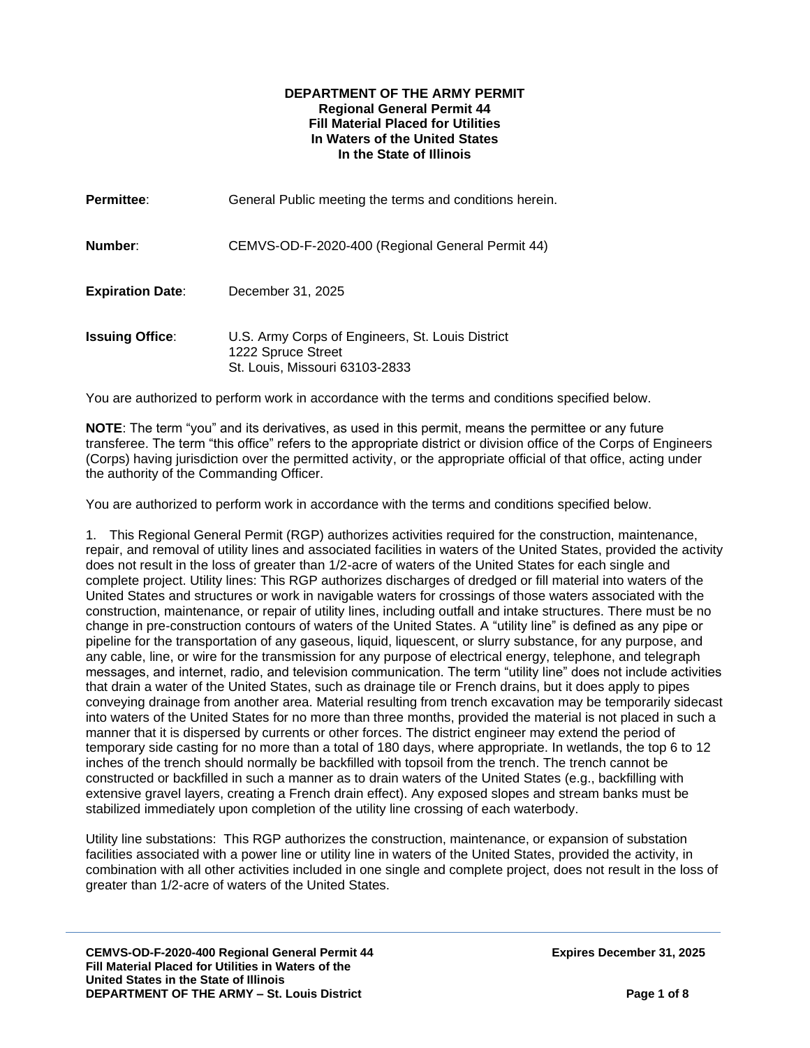#### **DEPARTMENT OF THE ARMY PERMIT Regional General Permit 44 Fill Material Placed for Utilities In Waters of the United States In the State of Illinois**

| <b>Permittee:</b>       | General Public meeting the terms and conditions herein.                                                  |
|-------------------------|----------------------------------------------------------------------------------------------------------|
| Number:                 | CEMVS-OD-F-2020-400 (Regional General Permit 44)                                                         |
| <b>Expiration Date:</b> | December 31, 2025                                                                                        |
| <b>Issuing Office:</b>  | U.S. Army Corps of Engineers, St. Louis District<br>1222 Spruce Street<br>St. Louis, Missouri 63103-2833 |

You are authorized to perform work in accordance with the terms and conditions specified below.

**NOTE**: The term "you" and its derivatives, as used in this permit, means the permittee or any future transferee. The term "this office" refers to the appropriate district or division office of the Corps of Engineers (Corps) having jurisdiction over the permitted activity, or the appropriate official of that office, acting under the authority of the Commanding Officer.

You are authorized to perform work in accordance with the terms and conditions specified below.

1. This Regional General Permit (RGP) authorizes activities required for the construction, maintenance, repair, and removal of utility lines and associated facilities in waters of the United States, provided the activity does not result in the loss of greater than 1/2-acre of waters of the United States for each single and complete project. Utility lines: This RGP authorizes discharges of dredged or fill material into waters of the United States and structures or work in navigable waters for crossings of those waters associated with the construction, maintenance, or repair of utility lines, including outfall and intake structures. There must be no change in pre-construction contours of waters of the United States. A "utility line" is defined as any pipe or pipeline for the transportation of any gaseous, liquid, liquescent, or slurry substance, for any purpose, and any cable, line, or wire for the transmission for any purpose of electrical energy, telephone, and telegraph messages, and internet, radio, and television communication. The term "utility line" does not include activities that drain a water of the United States, such as drainage tile or French drains, but it does apply to pipes conveying drainage from another area. Material resulting from trench excavation may be temporarily sidecast into waters of the United States for no more than three months, provided the material is not placed in such a manner that it is dispersed by currents or other forces. The district engineer may extend the period of temporary side casting for no more than a total of 180 days, where appropriate. In wetlands, the top 6 to 12 inches of the trench should normally be backfilled with topsoil from the trench. The trench cannot be constructed or backfilled in such a manner as to drain waters of the United States (e.g., backfilling with extensive gravel layers, creating a French drain effect). Any exposed slopes and stream banks must be stabilized immediately upon completion of the utility line crossing of each waterbody.

Utility line substations: This RGP authorizes the construction, maintenance, or expansion of substation facilities associated with a power line or utility line in waters of the United States, provided the activity, in combination with all other activities included in one single and complete project, does not result in the loss of greater than 1/2-acre of waters of the United States.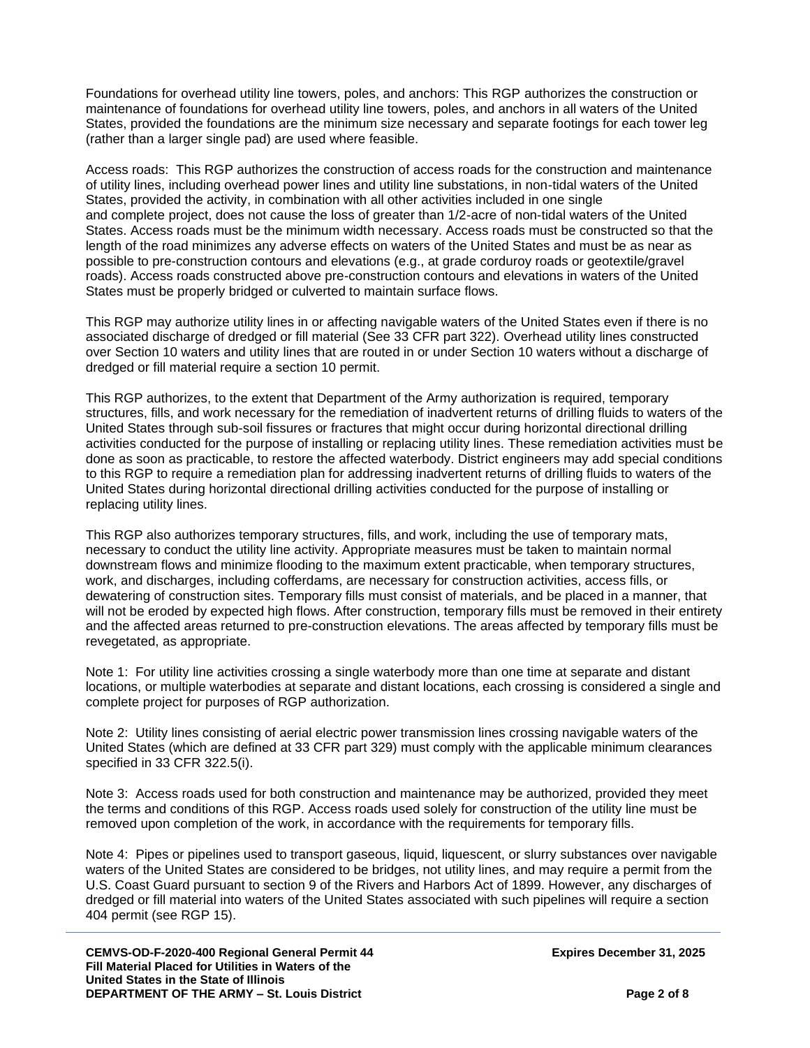Foundations for overhead utility line towers, poles, and anchors: This RGP authorizes the construction or maintenance of foundations for overhead utility line towers, poles, and anchors in all waters of the United States, provided the foundations are the minimum size necessary and separate footings for each tower leg (rather than a larger single pad) are used where feasible.

Access roads: This RGP authorizes the construction of access roads for the construction and maintenance of utility lines, including overhead power lines and utility line substations, in non-tidal waters of the United States, provided the activity, in combination with all other activities included in one single and complete project, does not cause the loss of greater than 1/2-acre of non-tidal waters of the United States. Access roads must be the minimum width necessary. Access roads must be constructed so that the length of the road minimizes any adverse effects on waters of the United States and must be as near as possible to pre-construction contours and elevations (e.g., at grade corduroy roads or geotextile/gravel roads). Access roads constructed above pre-construction contours and elevations in waters of the United States must be properly bridged or culverted to maintain surface flows.

This RGP may authorize utility lines in or affecting navigable waters of the United States even if there is no associated discharge of dredged or fill material (See 33 CFR part 322). Overhead utility lines constructed over Section 10 waters and utility lines that are routed in or under Section 10 waters without a discharge of dredged or fill material require a section 10 permit.

This RGP authorizes, to the extent that Department of the Army authorization is required, temporary structures, fills, and work necessary for the remediation of inadvertent returns of drilling fluids to waters of the United States through sub-soil fissures or fractures that might occur during horizontal directional drilling activities conducted for the purpose of installing or replacing utility lines. These remediation activities must be done as soon as practicable, to restore the affected waterbody. District engineers may add special conditions to this RGP to require a remediation plan for addressing inadvertent returns of drilling fluids to waters of the United States during horizontal directional drilling activities conducted for the purpose of installing or replacing utility lines.

This RGP also authorizes temporary structures, fills, and work, including the use of temporary mats, necessary to conduct the utility line activity. Appropriate measures must be taken to maintain normal downstream flows and minimize flooding to the maximum extent practicable, when temporary structures, work, and discharges, including cofferdams, are necessary for construction activities, access fills, or dewatering of construction sites. Temporary fills must consist of materials, and be placed in a manner, that will not be eroded by expected high flows. After construction, temporary fills must be removed in their entirety and the affected areas returned to pre-construction elevations. The areas affected by temporary fills must be revegetated, as appropriate.

Note 1: For utility line activities crossing a single waterbody more than one time at separate and distant locations, or multiple waterbodies at separate and distant locations, each crossing is considered a single and complete project for purposes of RGP authorization.

Note 2: Utility lines consisting of aerial electric power transmission lines crossing navigable waters of the United States (which are defined at 33 CFR part 329) must comply with the applicable minimum clearances specified in 33 CFR 322.5(i).

Note 3: Access roads used for both construction and maintenance may be authorized, provided they meet the terms and conditions of this RGP. Access roads used solely for construction of the utility line must be removed upon completion of the work, in accordance with the requirements for temporary fills.

Note 4: Pipes or pipelines used to transport gaseous, liquid, liquescent, or slurry substances over navigable waters of the United States are considered to be bridges, not utility lines, and may require a permit from the U.S. Coast Guard pursuant to section 9 of the Rivers and Harbors Act of 1899. However, any discharges of dredged or fill material into waters of the United States associated with such pipelines will require a section 404 permit (see RGP 15).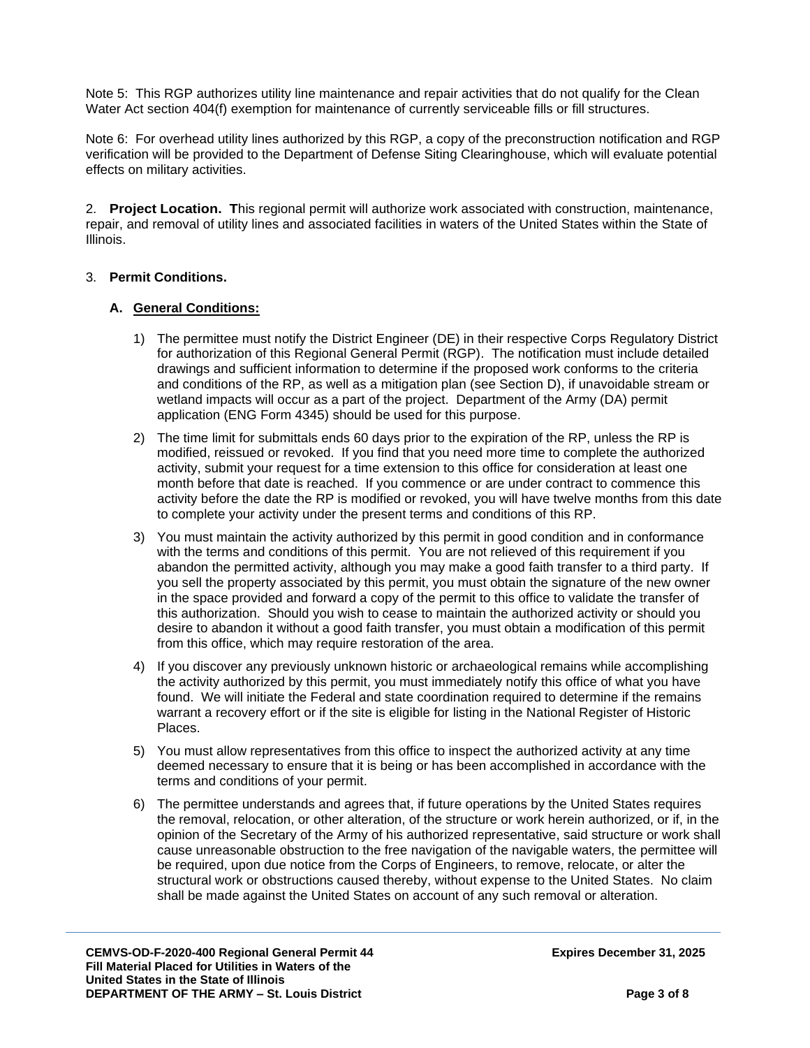Note 5: This RGP authorizes utility line maintenance and repair activities that do not qualify for the Clean Water Act section 404(f) exemption for maintenance of currently serviceable fills or fill structures.

Note 6: For overhead utility lines authorized by this RGP, a copy of the preconstruction notification and RGP verification will be provided to the Department of Defense Siting Clearinghouse, which will evaluate potential effects on military activities.

2. **Project Location. T**his regional permit will authorize work associated with construction, maintenance, repair, and removal of utility lines and associated facilities in waters of the United States within the State of Illinois.

#### 3. **Permit Conditions.**

#### **A. General Conditions:**

- 1) The permittee must notify the District Engineer (DE) in their respective Corps Regulatory District for authorization of this Regional General Permit (RGP). The notification must include detailed drawings and sufficient information to determine if the proposed work conforms to the criteria and conditions of the RP, as well as a mitigation plan (see Section D), if unavoidable stream or wetland impacts will occur as a part of the project. Department of the Army (DA) permit application (ENG Form 4345) should be used for this purpose.
- 2) The time limit for submittals ends 60 days prior to the expiration of the RP, unless the RP is modified, reissued or revoked. If you find that you need more time to complete the authorized activity, submit your request for a time extension to this office for consideration at least one month before that date is reached. If you commence or are under contract to commence this activity before the date the RP is modified or revoked, you will have twelve months from this date to complete your activity under the present terms and conditions of this RP.
- 3) You must maintain the activity authorized by this permit in good condition and in conformance with the terms and conditions of this permit. You are not relieved of this requirement if you abandon the permitted activity, although you may make a good faith transfer to a third party. If you sell the property associated by this permit, you must obtain the signature of the new owner in the space provided and forward a copy of the permit to this office to validate the transfer of this authorization. Should you wish to cease to maintain the authorized activity or should you desire to abandon it without a good faith transfer, you must obtain a modification of this permit from this office, which may require restoration of the area.
- 4) If you discover any previously unknown historic or archaeological remains while accomplishing the activity authorized by this permit, you must immediately notify this office of what you have found. We will initiate the Federal and state coordination required to determine if the remains warrant a recovery effort or if the site is eligible for listing in the National Register of Historic Places.
- 5) You must allow representatives from this office to inspect the authorized activity at any time deemed necessary to ensure that it is being or has been accomplished in accordance with the terms and conditions of your permit.
- 6) The permittee understands and agrees that, if future operations by the United States requires the removal, relocation, or other alteration, of the structure or work herein authorized, or if, in the opinion of the Secretary of the Army of his authorized representative, said structure or work shall cause unreasonable obstruction to the free navigation of the navigable waters, the permittee will be required, upon due notice from the Corps of Engineers, to remove, relocate, or alter the structural work or obstructions caused thereby, without expense to the United States. No claim shall be made against the United States on account of any such removal or alteration.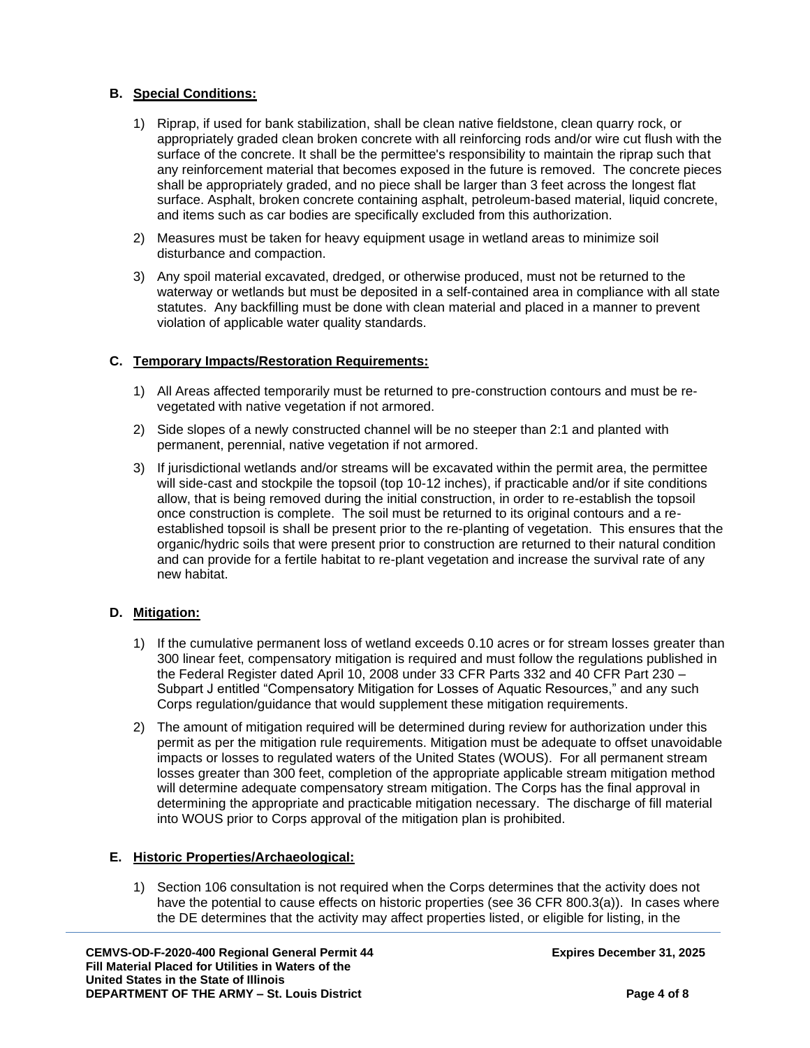# **B. Special Conditions:**

- 1) Riprap, if used for bank stabilization, shall be clean native fieldstone, clean quarry rock, or appropriately graded clean broken concrete with all reinforcing rods and/or wire cut flush with the surface of the concrete. It shall be the permittee's responsibility to maintain the riprap such that any reinforcement material that becomes exposed in the future is removed. The concrete pieces shall be appropriately graded, and no piece shall be larger than 3 feet across the longest flat surface. Asphalt, broken concrete containing asphalt, petroleum-based material, liquid concrete, and items such as car bodies are specifically excluded from this authorization.
- 2) Measures must be taken for heavy equipment usage in wetland areas to minimize soil disturbance and compaction.
- 3) Any spoil material excavated, dredged, or otherwise produced, must not be returned to the waterway or wetlands but must be deposited in a self-contained area in compliance with all state statutes. Any backfilling must be done with clean material and placed in a manner to prevent violation of applicable water quality standards.

## **C. Temporary Impacts/Restoration Requirements:**

- 1) All Areas affected temporarily must be returned to pre-construction contours and must be revegetated with native vegetation if not armored.
- 2) Side slopes of a newly constructed channel will be no steeper than 2:1 and planted with permanent, perennial, native vegetation if not armored.
- 3) If jurisdictional wetlands and/or streams will be excavated within the permit area, the permittee will side-cast and stockpile the topsoil (top 10-12 inches), if practicable and/or if site conditions allow, that is being removed during the initial construction, in order to re-establish the topsoil once construction is complete. The soil must be returned to its original contours and a reestablished topsoil is shall be present prior to the re-planting of vegetation. This ensures that the organic/hydric soils that were present prior to construction are returned to their natural condition and can provide for a fertile habitat to re-plant vegetation and increase the survival rate of any new habitat.

## **D. Mitigation:**

- 1) If the cumulative permanent loss of wetland exceeds 0.10 acres or for stream losses greater than 300 linear feet, compensatory mitigation is required and must follow the regulations published in the Federal Register dated April 10, 2008 under 33 CFR Parts 332 and 40 CFR Part 230 – Subpart J entitled "Compensatory Mitigation for Losses of Aquatic Resources," and any such Corps regulation/guidance that would supplement these mitigation requirements.
- 2) The amount of mitigation required will be determined during review for authorization under this permit as per the mitigation rule requirements. Mitigation must be adequate to offset unavoidable impacts or losses to regulated waters of the United States (WOUS). For all permanent stream losses greater than 300 feet, completion of the appropriate applicable stream mitigation method will determine adequate compensatory stream mitigation. The Corps has the final approval in determining the appropriate and practicable mitigation necessary. The discharge of fill material into WOUS prior to Corps approval of the mitigation plan is prohibited.

#### **E. Historic Properties/Archaeological:**

1) Section 106 consultation is not required when the Corps determines that the activity does not have the potential to cause effects on historic properties (see 36 CFR 800.3(a)). In cases where the DE determines that the activity may affect properties listed, or eligible for listing, in the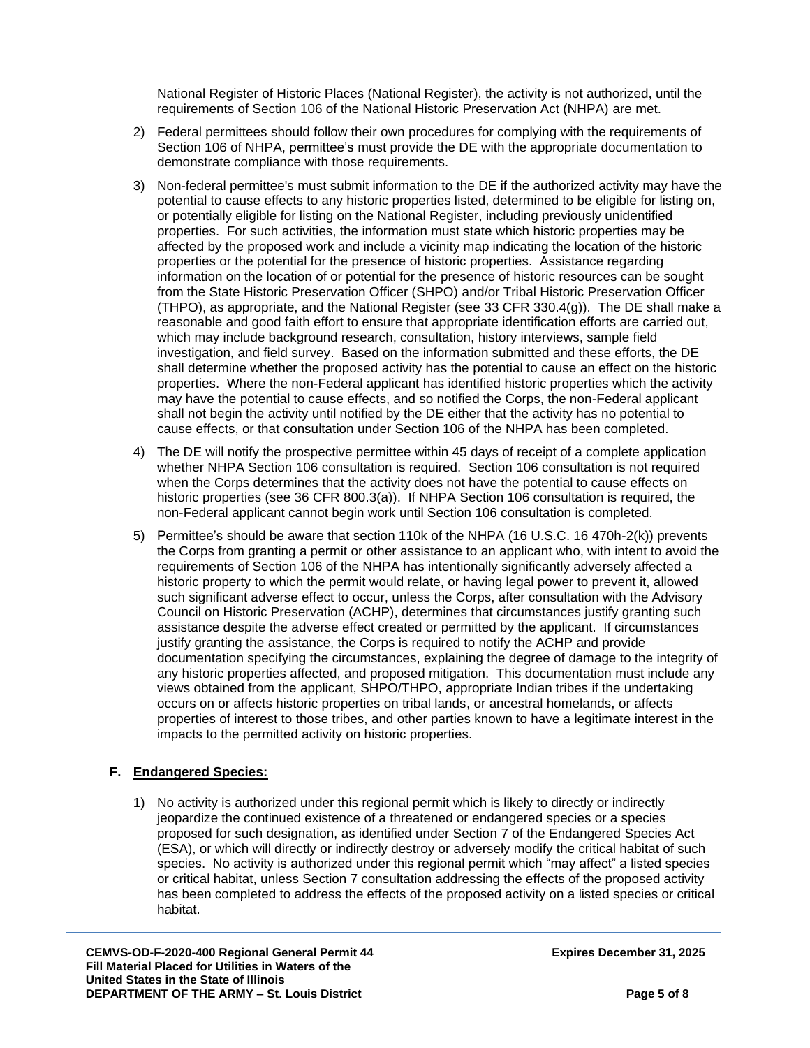National Register of Historic Places (National Register), the activity is not authorized, until the requirements of Section 106 of the National Historic Preservation Act (NHPA) are met.

- 2) Federal permittees should follow their own procedures for complying with the requirements of Section 106 of NHPA, permittee's must provide the DE with the appropriate documentation to demonstrate compliance with those requirements.
- 3) Non-federal permittee's must submit information to the DE if the authorized activity may have the potential to cause effects to any historic properties listed, determined to be eligible for listing on, or potentially eligible for listing on the National Register, including previously unidentified properties. For such activities, the information must state which historic properties may be affected by the proposed work and include a vicinity map indicating the location of the historic properties or the potential for the presence of historic properties. Assistance regarding information on the location of or potential for the presence of historic resources can be sought from the State Historic Preservation Officer (SHPO) and/or Tribal Historic Preservation Officer (THPO), as appropriate, and the National Register (see 33 CFR 330.4(g)). The DE shall make a reasonable and good faith effort to ensure that appropriate identification efforts are carried out, which may include background research, consultation, history interviews, sample field investigation, and field survey. Based on the information submitted and these efforts, the DE shall determine whether the proposed activity has the potential to cause an effect on the historic properties. Where the non-Federal applicant has identified historic properties which the activity may have the potential to cause effects, and so notified the Corps, the non-Federal applicant shall not begin the activity until notified by the DE either that the activity has no potential to cause effects, or that consultation under Section 106 of the NHPA has been completed.
- 4) The DE will notify the prospective permittee within 45 days of receipt of a complete application whether NHPA Section 106 consultation is required. Section 106 consultation is not required when the Corps determines that the activity does not have the potential to cause effects on historic properties (see 36 CFR 800.3(a)). If NHPA Section 106 consultation is required, the non-Federal applicant cannot begin work until Section 106 consultation is completed.
- 5) Permittee's should be aware that section 110k of the NHPA (16 U.S.C. 16 470h-2(k)) prevents the Corps from granting a permit or other assistance to an applicant who, with intent to avoid the requirements of Section 106 of the NHPA has intentionally significantly adversely affected a historic property to which the permit would relate, or having legal power to prevent it, allowed such significant adverse effect to occur, unless the Corps, after consultation with the Advisory Council on Historic Preservation (ACHP), determines that circumstances justify granting such assistance despite the adverse effect created or permitted by the applicant. If circumstances justify granting the assistance, the Corps is required to notify the ACHP and provide documentation specifying the circumstances, explaining the degree of damage to the integrity of any historic properties affected, and proposed mitigation. This documentation must include any views obtained from the applicant, SHPO/THPO, appropriate Indian tribes if the undertaking occurs on or affects historic properties on tribal lands, or ancestral homelands, or affects properties of interest to those tribes, and other parties known to have a legitimate interest in the impacts to the permitted activity on historic properties.

## **F. Endangered Species:**

1) No activity is authorized under this regional permit which is likely to directly or indirectly jeopardize the continued existence of a threatened or endangered species or a species proposed for such designation, as identified under Section 7 of the Endangered Species Act (ESA), or which will directly or indirectly destroy or adversely modify the critical habitat of such species. No activity is authorized under this regional permit which "may affect" a listed species or critical habitat, unless Section 7 consultation addressing the effects of the proposed activity has been completed to address the effects of the proposed activity on a listed species or critical habitat.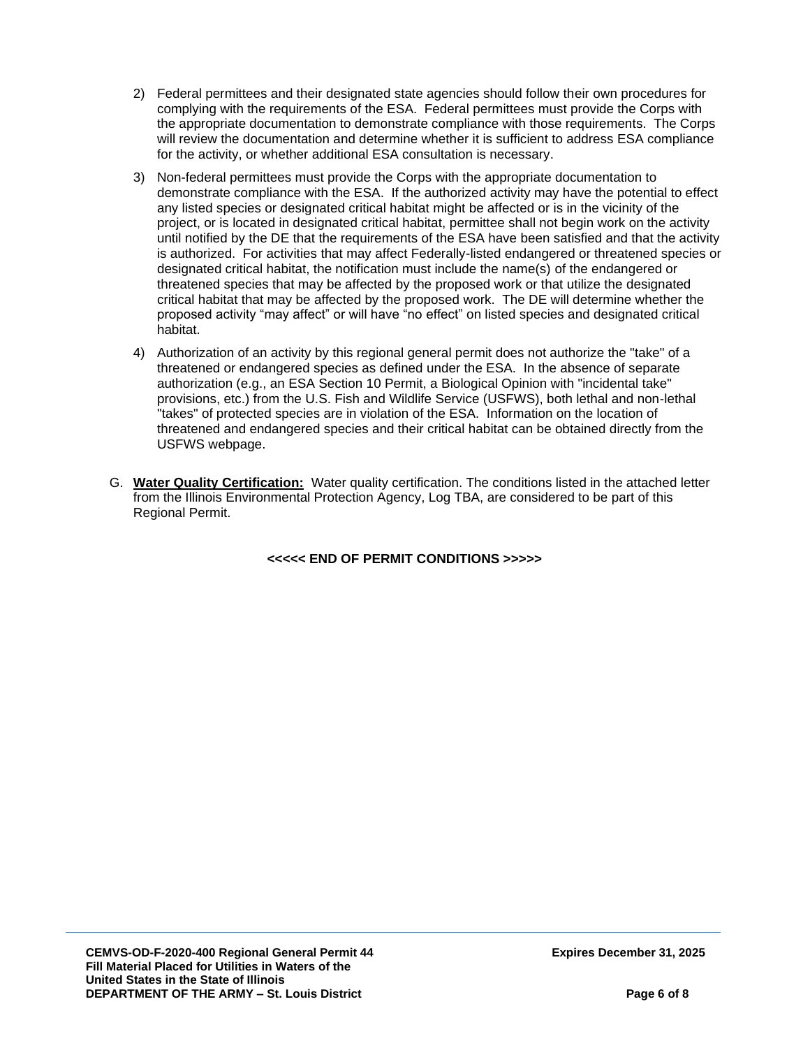- 2) Federal permittees and their designated state agencies should follow their own procedures for complying with the requirements of the ESA. Federal permittees must provide the Corps with the appropriate documentation to demonstrate compliance with those requirements. The Corps will review the documentation and determine whether it is sufficient to address ESA compliance for the activity, or whether additional ESA consultation is necessary.
- 3) Non-federal permittees must provide the Corps with the appropriate documentation to demonstrate compliance with the ESA. If the authorized activity may have the potential to effect any listed species or designated critical habitat might be affected or is in the vicinity of the project, or is located in designated critical habitat, permittee shall not begin work on the activity until notified by the DE that the requirements of the ESA have been satisfied and that the activity is authorized. For activities that may affect Federally-listed endangered or threatened species or designated critical habitat, the notification must include the name(s) of the endangered or threatened species that may be affected by the proposed work or that utilize the designated critical habitat that may be affected by the proposed work. The DE will determine whether the proposed activity "may affect" or will have "no effect" on listed species and designated critical habitat.
- 4) Authorization of an activity by this regional general permit does not authorize the "take" of a threatened or endangered species as defined under the ESA. In the absence of separate authorization (e.g., an ESA Section 10 Permit, a Biological Opinion with "incidental take" provisions, etc.) from the U.S. Fish and Wildlife Service (USFWS), both lethal and non-lethal "takes" of protected species are in violation of the ESA. Information on the location of threatened and endangered species and their critical habitat can be obtained directly from the USFWS webpage.
- G. **Water Quality Certification:** Water quality certification. The conditions listed in the attached letter from the Illinois Environmental Protection Agency, Log TBA, are considered to be part of this Regional Permit.

**<<<<< END OF PERMIT CONDITIONS >>>>>**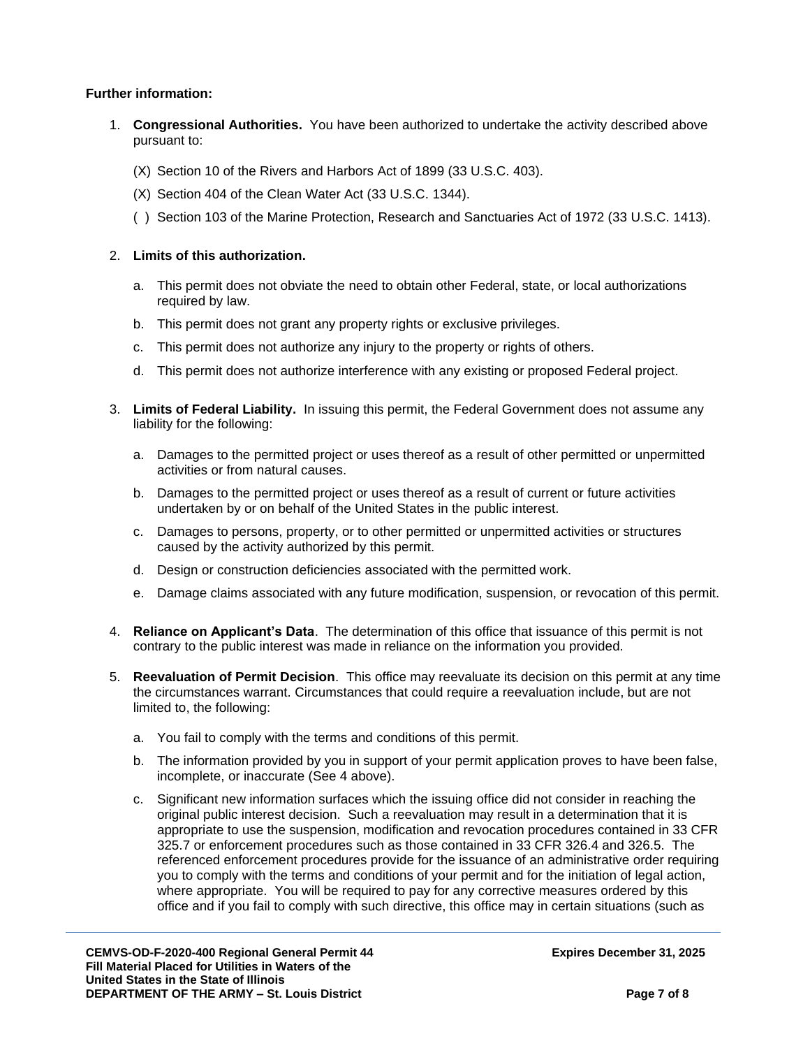## **Further information:**

- 1. **Congressional Authorities.** You have been authorized to undertake the activity described above pursuant to:
	- (X) Section 10 of the Rivers and Harbors Act of 1899 (33 U.S.C. 403).
	- (X) Section 404 of the Clean Water Act (33 U.S.C. 1344).
	- ( ) Section 103 of the Marine Protection, Research and Sanctuaries Act of 1972 (33 U.S.C. 1413).

# 2. **Limits of this authorization.**

- a. This permit does not obviate the need to obtain other Federal, state, or local authorizations required by law.
- b. This permit does not grant any property rights or exclusive privileges.
- c. This permit does not authorize any injury to the property or rights of others.
- d. This permit does not authorize interference with any existing or proposed Federal project.
- 3. **Limits of Federal Liability.** In issuing this permit, the Federal Government does not assume any liability for the following:
	- a. Damages to the permitted project or uses thereof as a result of other permitted or unpermitted activities or from natural causes.
	- b. Damages to the permitted project or uses thereof as a result of current or future activities undertaken by or on behalf of the United States in the public interest.
	- c. Damages to persons, property, or to other permitted or unpermitted activities or structures caused by the activity authorized by this permit.
	- d. Design or construction deficiencies associated with the permitted work.
	- e. Damage claims associated with any future modification, suspension, or revocation of this permit.
- 4. **Reliance on Applicant's Data**. The determination of this office that issuance of this permit is not contrary to the public interest was made in reliance on the information you provided.
- 5. **Reevaluation of Permit Decision**. This office may reevaluate its decision on this permit at any time the circumstances warrant. Circumstances that could require a reevaluation include, but are not limited to, the following:
	- a. You fail to comply with the terms and conditions of this permit.
	- b. The information provided by you in support of your permit application proves to have been false, incomplete, or inaccurate (See 4 above).
	- c. Significant new information surfaces which the issuing office did not consider in reaching the original public interest decision. Such a reevaluation may result in a determination that it is appropriate to use the suspension, modification and revocation procedures contained in 33 CFR 325.7 or enforcement procedures such as those contained in 33 CFR 326.4 and 326.5. The referenced enforcement procedures provide for the issuance of an administrative order requiring you to comply with the terms and conditions of your permit and for the initiation of legal action, where appropriate. You will be required to pay for any corrective measures ordered by this office and if you fail to comply with such directive, this office may in certain situations (such as